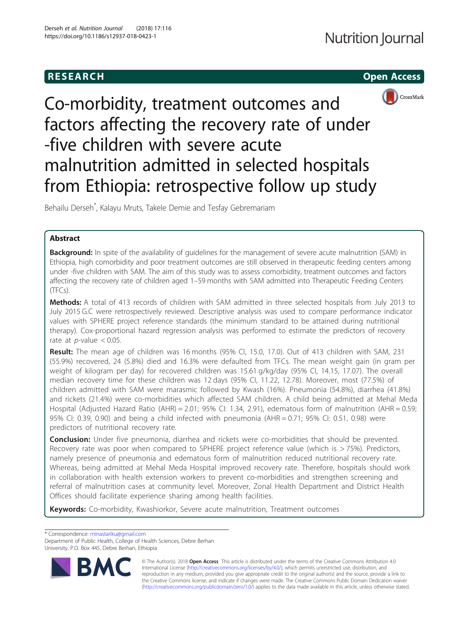



# Co-morbidity, treatment outcomes and factors affecting the recovery rate of under -five children with severe acute malnutrition admitted in selected hospitals from Ethiopia: retrospective follow up study

Behailu Derseh\* , Kalayu Mruts, Takele Demie and Tesfay Gebremariam

### Abstract

Background: In spite of the availability of quidelines for the management of severe acute malnutrition (SAM) in Ethiopia, high comorbidity and poor treatment outcomes are still observed in therapeutic feeding centers among under -five children with SAM. The aim of this study was to assess comorbidity, treatment outcomes and factors affecting the recovery rate of children aged 1–59 months with SAM admitted into Therapeutic Feeding Centers (TFCs).

Methods: A total of 413 records of children with SAM admitted in three selected hospitals from July 2013 to July 2015 G.C were retrospectively reviewed. Descriptive analysis was used to compare performance indicator values with SPHERE project reference standards (the minimum standard to be attained during nutritional therapy). Cox-proportional hazard regression analysis was performed to estimate the predictors of recovery rate at  $p$ -value < 0.05.

Result: The mean age of children was 16 months (95% CI, 15.0, 17.0). Out of 413 children with SAM, 231 (55.9%) recovered, 24 (5.8%) died and 16.3% were defaulted from TFCs. The mean weight gain (in gram per weight of kilogram per day) for recovered children was 15.61 g/kg/day (95% CI, 14.15, 17.07). The overall median recovery time for these children was 12 days (95% CI, 11.22, 12.78). Moreover, most (77.5%) of children admitted with SAM were marasmic followed by Kwash (16%). Pneumonia (54.8%), diarrhea (41.8%) and rickets (21.4%) were co-morbidities which affected SAM children. A child being admitted at Mehal Meda Hospital (Adjusted Hazard Ratio (AHR) = 2.01; 95% CI: 1.34, 2.91), edematous form of malnutrition (AHR = 0.59; 95% CI: 0.39, 0.90) and being a child infected with pneumonia (AHR = 0.71; 95% CI: 0.51, 0.98) were predictors of nutritional recovery rate.

**Conclusion:** Under five pneumonia, diarrhea and rickets were co-morbidities that should be prevented. Recovery rate was poor when compared to SPHERE project reference value (which is > 75%). Predictors, namely presence of pneumonia and edematous form of malnutrition reduced nutritional recovery rate. Whereas, being admitted at Mehal Meda Hospital improved recovery rate. Therefore, hospitals should work in collaboration with health extension workers to prevent co-morbidities and strengthen screening and referral of malnutrition cases at community level. Moreover, Zonal Health Department and District Health Offices should facilitate experience sharing among health facilities.

Keywords: Co-morbidity, Kwashiorkor, Severe acute malnutrition, Treatment outcomes

\* Correspondence: [minastariku@gmail.com](mailto:minastariku@gmail.com)

Department of Public Health, College of Health Sciences, Debre Berhan University, P.O. Box 445, Debre Berhan, Ethiopia



© The Author(s). 2018 Open Access This article is distributed under the terms of the Creative Commons Attribution 4.0 International License [\(http://creativecommons.org/licenses/by/4.0/](http://creativecommons.org/licenses/by/4.0/)), which permits unrestricted use, distribution, and reproduction in any medium, provided you give appropriate credit to the original author(s) and the source, provide a link to the Creative Commons license, and indicate if changes were made. The Creative Commons Public Domain Dedication waiver [\(http://creativecommons.org/publicdomain/zero/1.0/](http://creativecommons.org/publicdomain/zero/1.0/)) applies to the data made available in this article, unless otherwise stated.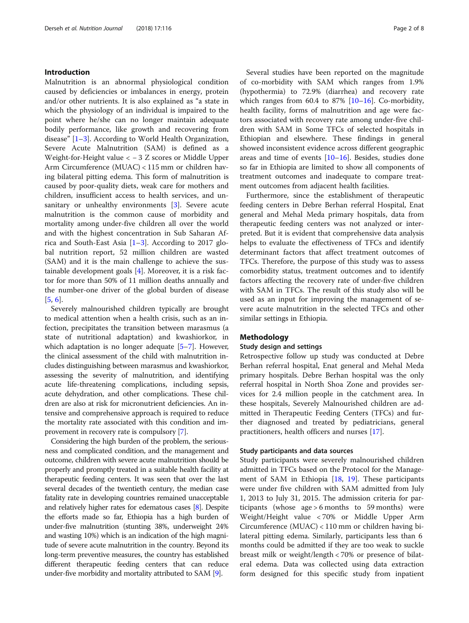#### Introduction

Malnutrition is an abnormal physiological condition caused by deficiencies or imbalances in energy, protein and/or other nutrients. It is also explained as "a state in which the physiology of an individual is impaired to the point where he/she can no longer maintain adequate bodily performance, like growth and recovering from disease" [[1](#page-6-0)–[3\]](#page-6-0). According to World Health Organization, Severe Acute Malnutrition (SAM) is defined as a Weight-for-Height value < − 3 Z scores or Middle Upper Arm Circumference (MUAC) < 115 mm or children having bilateral pitting edema. This form of malnutrition is caused by poor-quality diets, weak care for mothers and children, insufficient access to health services, and un-sanitary or unhealthy environments [\[3](#page-6-0)]. Severe acute malnutrition is the common cause of morbidity and mortality among under-five children all over the world and with the highest concentration in Sub Saharan Africa and South-East Asia  $[1-3]$  $[1-3]$  $[1-3]$  $[1-3]$ . According to 2017 global nutrition report, 52 million children are wasted (SAM) and it is the main challenge to achieve the sustainable development goals [\[4](#page-6-0)]. Moreover, it is a risk factor for more than 50% of 11 million deaths annually and the number-one driver of the global burden of disease [[5,](#page-6-0) [6\]](#page-6-0).

Severely malnourished children typically are brought to medical attention when a health crisis, such as an infection, precipitates the transition between marasmus (a state of nutritional adaptation) and kwashiorkor, in which adaptation is no longer adequate [\[5](#page-6-0)–[7\]](#page-6-0). However, the clinical assessment of the child with malnutrition includes distinguishing between marasmus and kwashiorkor, assessing the severity of malnutrition, and identifying acute life-threatening complications, including sepsis, acute dehydration, and other complications. These children are also at risk for micronutrient deficiencies. An intensive and comprehensive approach is required to reduce the mortality rate associated with this condition and improvement in recovery rate is compulsory [\[7\]](#page-6-0).

Considering the high burden of the problem, the seriousness and complicated condition, and the management and outcome, children with severe acute malnutrition should be properly and promptly treated in a suitable health facility at therapeutic feeding centers. It was seen that over the last several decades of the twentieth century, the median case fatality rate in developing countries remained unacceptable and relatively higher rates for edematous cases [\[8\]](#page-7-0). Despite the efforts made so far, Ethiopia has a high burden of under-five malnutrition (stunting 38%, underweight 24% and wasting 10%) which is an indication of the high magnitude of severe acute malnutrition in the country. Beyond its long-term preventive measures, the country has established different therapeutic feeding centers that can reduce under-five morbidity and mortality attributed to SAM [\[9\]](#page-7-0).

Several studies have been reported on the magnitude of co-morbidity with SAM which ranges from 1.9% (hypothermia) to 72.9% (diarrhea) and recovery rate which ranges from 60.4 to 87%  $[10-16]$  $[10-16]$  $[10-16]$  $[10-16]$ . Co-morbidity, health facility, forms of malnutrition and age were factors associated with recovery rate among under-five children with SAM in Some TFCs of selected hospitals in Ethiopian and elsewhere. These findings in general showed inconsistent evidence across different geographic areas and time of events  $[10-16]$  $[10-16]$  $[10-16]$ . Besides, studies done so far in Ethiopia are limited to show all components of treatment outcomes and inadequate to compare treatment outcomes from adjacent health facilities.

Furthermore, since the establishment of therapeutic feeding centers in Debre Berhan referral Hospital, Enat general and Mehal Meda primary hospitals, data from therapeutic feeding centers was not analyzed or interpreted. But it is evident that comprehensive data analysis helps to evaluate the effectiveness of TFCs and identify determinant factors that affect treatment outcomes of TFCs. Therefore, the purpose of this study was to assess comorbidity status, treatment outcomes and to identify factors affecting the recovery rate of under-five children with SAM in TFCs. The result of this study also will be used as an input for improving the management of severe acute malnutrition in the selected TFCs and other similar settings in Ethiopia.

#### Methodology

#### Study design and settings

Retrospective follow up study was conducted at Debre Berhan referral hospital, Enat general and Mehal Meda primary hospitals. Debre Berhan hospital was the only referral hospital in North Shoa Zone and provides services for 2.4 million people in the catchment area. In these hospitals, Severely Malnourished children are admitted in Therapeutic Feeding Centers (TFCs) and further diagnosed and treated by pediatricians, general practitioners, health officers and nurses [[17\]](#page-7-0).

#### Study participants and data sources

Study participants were severely malnourished children admitted in TFCs based on the Protocol for the Management of SAM in Ethiopia [\[18](#page-7-0), [19](#page-7-0)]. These participants were under five children with SAM admitted from July 1, 2013 to July 31, 2015. The admission criteria for participants (whose age > 6 months to 59 months) were Weight/Height value < 70% or Middle Upper Arm Circumference (MUAC) < 110 mm or children having bilateral pitting edema. Similarly, participants less than 6 months could be admitted if they are too weak to suckle breast milk or weight/length < 70% or presence of bilateral edema. Data was collected using data extraction form designed for this specific study from inpatient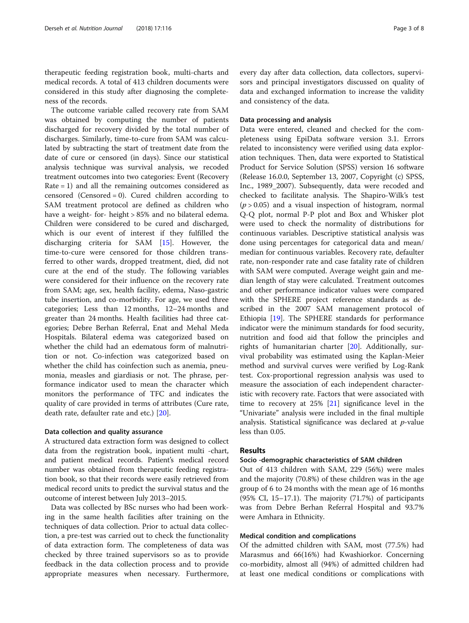therapeutic feeding registration book, multi-charts and medical records. A total of 413 children documents were considered in this study after diagnosing the completeness of the records.

The outcome variable called recovery rate from SAM was obtained by computing the number of patients discharged for recovery divided by the total number of discharges. Similarly, time-to-cure from SAM was calculated by subtracting the start of treatment date from the date of cure or censored (in days). Since our statistical analysis technique was survival analysis, we recoded treatment outcomes into two categories: Event (Recovery  $Rate = 1$ ) and all the remaining outcomes considered as censored (Censored  $= 0$ ). Cured children according to SAM treatment protocol are defined as children who have a weight- for- height > 85% and no bilateral edema. Children were considered to be cured and discharged, which is our event of interest if they fulfilled the discharging criteria for SAM [[15\]](#page-7-0). However, the time-to-cure were censored for those children transferred to other wards, dropped treatment, died, did not cure at the end of the study. The following variables were considered for their influence on the recovery rate from SAM; age, sex, health facility, edema, Naso-gastric tube insertion, and co-morbidity. For age, we used three categories; Less than 12 months, 12–24 months and greater than 24 months. Health facilities had three categories; Debre Berhan Referral, Enat and Mehal Meda Hospitals. Bilateral edema was categorized based on whether the child had an edematous form of malnutrition or not. Co-infection was categorized based on whether the child has coinfection such as anemia, pneumonia, measles and giardiasis or not. The phrase, performance indicator used to mean the character which monitors the performance of TFC and indicates the quality of care provided in terms of attributes (Cure rate, death rate, defaulter rate and etc.) [[20\]](#page-7-0).

#### Data collection and quality assurance

A structured data extraction form was designed to collect data from the registration book, inpatient multi -chart, and patient medical records. Patient's medical record number was obtained from therapeutic feeding registration book, so that their records were easily retrieved from medical record units to predict the survival status and the outcome of interest between July 2013–2015.

Data was collected by BSc nurses who had been working in the same health facilities after training on the techniques of data collection. Prior to actual data collection, a pre-test was carried out to check the functionality of data extraction form. The completeness of data was checked by three trained supervisors so as to provide feedback in the data collection process and to provide appropriate measures when necessary. Furthermore, every day after data collection, data collectors, supervisors and principal investigators discussed on quality of data and exchanged information to increase the validity and consistency of the data.

#### Data processing and analysis

Data were entered, cleaned and checked for the completeness using EpiData software version 3.1. Errors related to inconsistency were verified using data exploration techniques. Then, data were exported to Statistical Product for Service Solution (SPSS) version 16 software (Release 16.0.0, September 13, 2007, Copyright (c) SPSS, Inc., 1989\_2007). Subsequently, data were recoded and checked to facilitate analysis. The Shapiro-Wilk's test  $(p > 0.05)$  and a visual inspection of histogram, normal Q-Q plot, normal P-P plot and Box and Whisker plot were used to check the normality of distributions for continuous variables. Descriptive statistical analysis was done using percentages for categorical data and mean/ median for continuous variables. Recovery rate, defaulter rate, non-responder rate and case fatality rate of children with SAM were computed. Average weight gain and median length of stay were calculated. Treatment outcomes and other performance indicator values were compared with the SPHERE project reference standards as described in the 2007 SAM management protocol of Ethiopia [\[19](#page-7-0)]. The SPHERE standards for performance indicator were the minimum standards for food security, nutrition and food aid that follow the principles and rights of humanitarian charter [\[20](#page-7-0)]. Additionally, survival probability was estimated using the Kaplan-Meier method and survival curves were verified by Log-Rank test. Cox-proportional regression analysis was used to measure the association of each independent characteristic with recovery rate. Factors that were associated with time to recovery at 25% [[21](#page-7-0)] significance level in the "Univariate" analysis were included in the final multiple analysis. Statistical significance was declared at p-value less than 0.05.

#### Results

#### Socio -demographic characteristics of SAM children

Out of 413 children with SAM, 229 (56%) were males and the majority (70.8%) of these children was in the age group of 6 to 24 months with the mean age of 16 months (95% CI, 15–17.1). The majority (71.7%) of participants was from Debre Berhan Referral Hospital and 93.7% were Amhara in Ethnicity.

#### Medical condition and complications

Of the admitted children with SAM, most (77.5%) had Marasmus and 66(16%) had Kwashiorkor. Concerning co-morbidity, almost all (94%) of admitted children had at least one medical conditions or complications with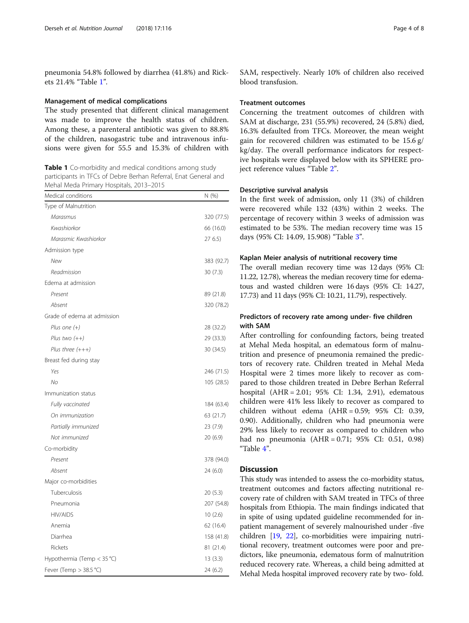pneumonia 54.8% followed by diarrhea (41.8%) and Rickets 21.4% "Table 1".

#### Management of medical complications

The study presented that different clinical management was made to improve the health status of children. Among these, a parenteral antibiotic was given to 88.8% of the children, nasogastric tube and intravenous infusions were given for 55.5 and 15.3% of children with

Table 1 Co-morbidity and medical conditions among study participants in TFCs of Debre Berhan Referral, Enat General and Mehal Meda Primary Hospitals, 2013–2015

| Medical conditions           | N (%)      |
|------------------------------|------------|
| Type of Malnutrition         |            |
| Marasmus                     | 320 (77.5) |
| Kwashiorkor                  | 66 (16.0)  |
| Marasmic Kwashiorkor         | 276.5      |
| Admission type               |            |
| New                          | 383 (92.7) |
| Readmission                  | 30(7.3)    |
| Edema at admission           |            |
| Present                      | 89 (21.8)  |
| Absent                       | 320 (78.2) |
| Grade of edema at admission  |            |
| Plus one $(+)$               | 28 (32.2)  |
| Plus two $(++)$              | 29 (33.3)  |
| Plus three $(+++)$           | 30 (34.5)  |
| Breast fed during stay       |            |
| Yes                          | 246 (71.5) |
| No                           | 105 (28.5) |
| Immunization status          |            |
| Fully vaccinated             | 184 (63.4) |
| On immunization              | 63 (21.7)  |
| Partially immunized          | 23(7.9)    |
| Not immunized                | 20(6.9)    |
| Co-morbidity                 |            |
| Present                      | 378 (94.0) |
| Absent                       | 24 (6.0)   |
| Major co-morbidities         |            |
| Tuberculosis                 | 20(5.3)    |
| Pneumonia                    | 207 (54.8) |
| <b>HIV/AIDS</b>              | 10(2.6)    |
| Anemia                       | 62 (16.4)  |
| Diarrhea                     | 158 (41.8) |
| Rickets                      | 81 (21.4)  |
| Hypothermia (Temp $<$ 35 °C) | 13(3.3)    |
| Fever (Temp $>$ 38.5 °C)     | 24 (6.2)   |

SAM, respectively. Nearly 10% of children also received blood transfusion.

#### Treatment outcomes

Concerning the treatment outcomes of children with SAM at discharge, 231 (55.9%) recovered, 24 (5.8%) died, 16.3% defaulted from TFCs. Moreover, the mean weight gain for recovered children was estimated to be 15.6 g/ kg/day. The overall performance indicators for respective hospitals were displayed below with its SPHERE project reference values "Table [2](#page-4-0)".

#### Descriptive survival analysis

In the first week of admission, only 11 (3%) of children were recovered while 132 (43%) within 2 weeks. The percentage of recovery within 3 weeks of admission was estimated to be 53%. The median recovery time was 15 days (95% CI: 14.09, 15.908) "Table [3](#page-4-0)".

#### Kaplan Meier analysis of nutritional recovery time

The overall median recovery time was 12 days (95% CI: 11.22, 12.78), whereas the median recovery time for edematous and wasted children were 16 days (95% CI: 14.27, 17.73) and 11 days (95% CI: 10.21, 11.79), respectively.

#### Predictors of recovery rate among under- five children with SAM

After controlling for confounding factors, being treated at Mehal Meda hospital, an edematous form of malnutrition and presence of pneumonia remained the predictors of recovery rate. Children treated in Mehal Meda Hospital were 2 times more likely to recover as compared to those children treated in Debre Berhan Referral hospital (AHR = 2.01; 95% CI: 1.34, 2.91), edematous children were 41% less likely to recover as compared to children without edema (AHR = 0.59; 95% CI: 0.39, 0.90). Additionally, children who had pneumonia were 29% less likely to recover as compared to children who had no pneumonia (AHR = 0.71; 95% CI: 0.51, 0.98) "Table [4](#page-5-0)".

#### **Discussion**

This study was intended to assess the co-morbidity status, treatment outcomes and factors affecting nutritional recovery rate of children with SAM treated in TFCs of three hospitals from Ethiopia. The main findings indicated that in spite of using updated guideline recommended for inpatient management of severely malnourished under -five children [\[19,](#page-7-0) [22\]](#page-7-0), co-morbidities were impairing nutritional recovery, treatment outcomes were poor and predictors, like pneumonia, edematous form of malnutrition reduced recovery rate. Whereas, a child being admitted at Mehal Meda hospital improved recovery rate by two- fold.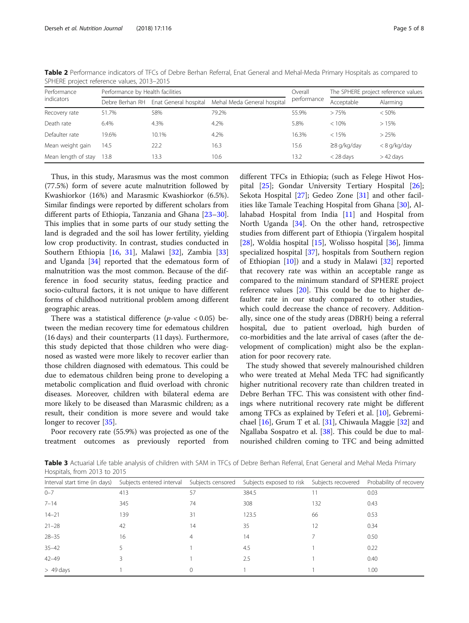| Performance<br>indicators | Performance by Health facilities |                       | Overall                     | The SPHERE project reference values |                   |                |
|---------------------------|----------------------------------|-----------------------|-----------------------------|-------------------------------------|-------------------|----------------|
|                           | Debre Berhan RH                  | Enat General hospital | Mehal Meda General hospital | performance                         | Acceptable        | Alarming       |
| Recovery rate             | 51.7%                            | 58%                   | 79.2%                       | 55.9%                               | >75%              | < 50%          |
| Death rate                | 6.4%                             | 4.3%                  | 4.2%                        | 5.8%                                | < 10%             | >15%           |
| Defaulter rate            | 19.6%                            | 10.1%                 | 4.2%                        | 16.3%                               | < 15%             | >25%           |
| Mean weight gain          | 14.5                             | 22.2                  | 16.3                        | 15.6                                | $\geq$ 8 g/kg/day | $< 8$ g/kg/day |
| Mean length of stay       | 13.8                             | 13.3                  | 10.6                        | 13.2                                | $<$ 28 days       | $>$ 42 days    |

<span id="page-4-0"></span>Table 2 Performance indicators of TFCs of Debre Berhan Referral, Enat General and Mehal-Meda Primary Hospitals as compared to SPHERE project reference values, 2013–2015

Thus, in this study, Marasmus was the most common (77.5%) form of severe acute malnutrition followed by Kwashiorkor (16%) and Marasmic Kwashiorkor (6.5%). Similar findings were reported by different scholars from different parts of Ethiopia, Tanzania and Ghana [[23](#page-7-0)–[30](#page-7-0)]. This implies that in some parts of our study setting the land is degraded and the soil has lower fertility, yielding low crop productivity. In contrast, studies conducted in Southern Ethiopia [[16,](#page-7-0) [31\]](#page-7-0), Malawi [[32\]](#page-7-0), Zambia [[33](#page-7-0)] and Uganda [\[34\]](#page-7-0) reported that the edematous form of malnutrition was the most common. Because of the difference in food security status, feeding practice and socio-cultural factors, it is not unique to have different forms of childhood nutritional problem among different geographic areas.

There was a statistical difference (*p*-value  $< 0.05$ ) between the median recovery time for edematous children (16 days) and their counterparts (11 days). Furthermore, this study depicted that those children who were diagnosed as wasted were more likely to recover earlier than those children diagnosed with edematous. This could be due to edematous children being prone to developing a metabolic complication and fluid overload with chronic diseases. Moreover, children with bilateral edema are more likely to be diseased than Marasmic children; as a result, their condition is more severe and would take longer to recover [\[35\]](#page-7-0).

Poor recovery rate (55.9%) was projected as one of the treatment outcomes as previously reported from

different TFCs in Ethiopia; (such as Felege Hiwot Hospital [\[25](#page-7-0)]; Gondar University Tertiary Hospital [\[26](#page-7-0)]; Sekota Hospital [[27](#page-7-0)]; Gedeo Zone [[31\]](#page-7-0) and other facilities like Tamale Teaching Hospital from Ghana [\[30](#page-7-0)], Allahabad Hospital from India [\[11](#page-7-0)] and Hospital from North Uganda [\[34](#page-7-0)]. On the other hand, retrospective studies from different part of Ethiopia (Yirgalem hospital [[28\]](#page-7-0), Woldia hospital [\[15\]](#page-7-0), Wolisso hospital [\[36](#page-7-0)], Jimma specialized hospital [[37\]](#page-7-0), hospitals from Southern region of Ethiopian [\[10](#page-7-0)]) and a study in Malawi [[32](#page-7-0)] reported that recovery rate was within an acceptable range as compared to the minimum standard of SPHERE project reference values [[20](#page-7-0)]. This could be due to higher defaulter rate in our study compared to other studies, which could decrease the chance of recovery. Additionally, since one of the study areas (DBRH) being a referral hospital, due to patient overload, high burden of co-morbidities and the late arrival of cases (after the development of complication) might also be the explanation for poor recovery rate.

The study showed that severely malnourished children who were treated at Mehal Meda TFC had significantly higher nutritional recovery rate than children treated in Debre Berhan TFC. This was consistent with other findings where nutritional recovery rate might be different among TFCs as explained by Teferi et al. [\[10\]](#page-7-0), Gebremichael  $[16]$  $[16]$ , Grum T et al.  $[31]$  $[31]$  $[31]$ , Chiwaula Maggie  $[32]$  $[32]$  $[32]$  and Ngallaba Sospatro et al. [[38\]](#page-7-0). This could be due to malnourished children coming to TFC and being admitted

Table 3 Actuarial Life table analysis of children with SAM in TFCs of Debre Berhan Referral, Enat General and Mehal Meda Primary Hospitals, from 2013 to 2015

| Interval start time (in days) | Subjects entered interval Subjects censored |          | Subjects exposed to risk Subjects recovered |     | Probability of recovery |
|-------------------------------|---------------------------------------------|----------|---------------------------------------------|-----|-------------------------|
| $0 - 7$                       | 413                                         | 57       | 384.5                                       |     | 0.03                    |
| $7 - 14$                      | 345                                         | 74       | 308                                         | 132 | 0.43                    |
| $14 - 21$                     | 139                                         | 31       | 123.5                                       | 66  | 0.53                    |
| $21 - 28$                     | 42                                          | 14       | 35                                          | 12  | 0.34                    |
| $28 - 35$                     | 16                                          | 4        | 14                                          |     | 0.50                    |
| $35 - 42$                     |                                             |          | 4.5                                         |     | 0.22                    |
| $42 - 49$                     |                                             |          | 2.5                                         |     | 0.40                    |
| $>49 \text{ days}$            |                                             | $\Omega$ |                                             |     | 1.00                    |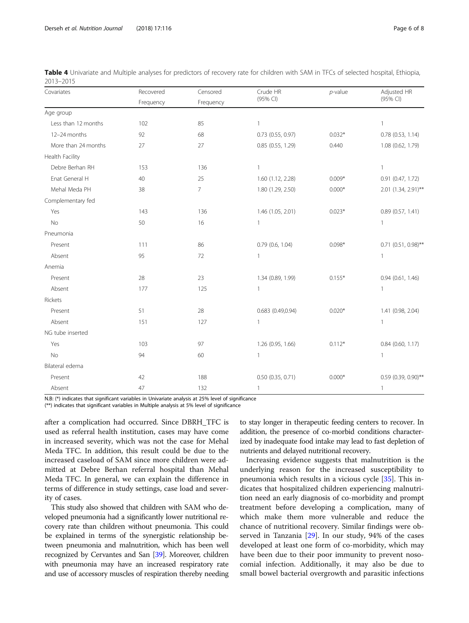| Covariates          | Recovered | Censored       | Crude HR              | $p$ -value | Adjusted HR<br>(95% CI) |  |
|---------------------|-----------|----------------|-----------------------|------------|-------------------------|--|
|                     | Frequency | Frequency      | (95% CI)              |            |                         |  |
| Age group           |           |                |                       |            |                         |  |
| Less than 12 months | 102       | 85             | $\mathbf{1}$          |            | $\mathbf{1}$            |  |
| 12-24 months        | 92        | 68             | 0.73 (0.55, 0.97)     | $0.032*$   | 0.78 (0.53, 1.14)       |  |
| More than 24 months | 27        | 27             | 0.85 (0.55, 1.29)     | 0.440      | 1.08 (0.62, 1.79)       |  |
| Health Facility     |           |                |                       |            |                         |  |
| Debre Berhan RH     | 153       | 136            | 1                     |            | $\mathbf{1}$            |  |
| Enat General H      | 40        | 25             | 1.60 (1.12, 2.28)     | $0.009*$   | 0.91 (0.47, 1.72)       |  |
| Mehal Meda PH       | 38        | $\overline{7}$ | 1.80 (1.29, 2.50)     | $0.000*$   | 2.01 (1.34, 2.91)**     |  |
| Complementary fed   |           |                |                       |            |                         |  |
| Yes                 | 143       | 136            | 1.46 (1.05, 2.01)     | $0.023*$   | 0.89(0.57, 1.41)        |  |
| No                  | 50        | 16             | $\mathbf{1}$          |            | $\mathbf{1}$            |  |
| Pneumonia           |           |                |                       |            |                         |  |
| Present             | 111       | 86             | 0.79(0.6, 1.04)       | $0.098*$   | $0.71$ (0.51, 0.98)**   |  |
| Absent              | 95        | 72             | 1                     |            | $\mathbf{1}$            |  |
| Anemia              |           |                |                       |            |                         |  |
| Present             | 28        | 23             | 1.34 (0.89, 1.99)     | $0.155*$   | $0.94$ $(0.61, 1.46)$   |  |
| Absent              | 177       | 125            | 1                     |            | $\mathbf{1}$            |  |
| Rickets             |           |                |                       |            |                         |  |
| Present             | 51        | 28             | 0.683 (0.49,0.94)     | $0.020*$   | 1.41 (0.98, 2.04)       |  |
| Absent              | 151       | 127            | 1                     |            | $\mathbf{1}$            |  |
| NG tube inserted    |           |                |                       |            |                         |  |
| Yes                 | 103       | 97             | 1.26 (0.95, 1.66)     | $0.112*$   | $0.84$ (0.60, 1.17)     |  |
| No                  | 94        | 60             | 1                     |            | 1                       |  |
| Bilateral edema     |           |                |                       |            |                         |  |
| Present             | 42        | 188            | $0.50$ $(0.35, 0.71)$ | $0.000*$   | 0.59 (0.39, 0.90)**     |  |
| Absent              | 47        | 132            | $\mathbf{1}$          |            | $\mathbf{1}$            |  |

<span id="page-5-0"></span>

|           | Table 4 Univariate and Multiple analyses for predictors of recovery rate for children with SAM in TFCs of selected hospital, Ethiopia, |  |  |  |
|-----------|----------------------------------------------------------------------------------------------------------------------------------------|--|--|--|
| 2013-2015 |                                                                                                                                        |  |  |  |

N.B: (\*) indicates that significant variables in Univariate analysis at 25% level of significance

(\*\*) indicates that significant variables in Multiple analysis at 5% level of significance

after a complication had occurred. Since DBRH\_TFC is used as referral health institution, cases may have come in increased severity, which was not the case for Mehal Meda TFC. In addition, this result could be due to the increased caseload of SAM since more children were admitted at Debre Berhan referral hospital than Mehal Meda TFC. In general, we can explain the difference in terms of difference in study settings, case load and severity of cases.

This study also showed that children with SAM who developed pneumonia had a significantly lower nutritional recovery rate than children without pneumonia. This could be explained in terms of the synergistic relationship between pneumonia and malnutrition, which has been well recognized by Cervantes and San [\[39](#page-7-0)]. Moreover, children with pneumonia may have an increased respiratory rate and use of accessory muscles of respiration thereby needing to stay longer in therapeutic feeding centers to recover. In addition, the presence of co-morbid conditions characterized by inadequate food intake may lead to fast depletion of nutrients and delayed nutritional recovery.

Increasing evidence suggests that malnutrition is the underlying reason for the increased susceptibility to pneumonia which results in a vicious cycle [[35](#page-7-0)]. This indicates that hospitalized children experiencing malnutrition need an early diagnosis of co-morbidity and prompt treatment before developing a complication, many of which make them more vulnerable and reduce the chance of nutritional recovery. Similar findings were observed in Tanzania  $[29]$  $[29]$  $[29]$ . In our study, 94% of the cases developed at least one form of co-morbidity, which may have been due to their poor immunity to prevent nosocomial infection. Additionally, it may also be due to small bowel bacterial overgrowth and parasitic infections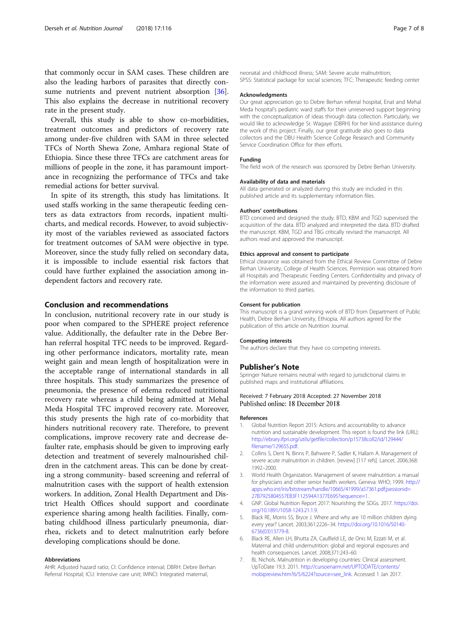<span id="page-6-0"></span>that commonly occur in SAM cases. These children are also the leading harbors of parasites that directly con-sume nutrients and prevent nutrient absorption [\[36](#page-7-0)]. This also explains the decrease in nutritional recovery rate in the present study.

Overall, this study is able to show co-morbidities, treatment outcomes and predictors of recovery rate among under-five children with SAM in three selected TFCs of North Shewa Zone, Amhara regional State of Ethiopia. Since these three TFCs are catchment areas for millions of people in the zone, it has paramount importance in recognizing the performance of TFCs and take remedial actions for better survival.

In spite of its strength, this study has limitations. It used staffs working in the same therapeutic feeding centers as data extractors from records, inpatient multicharts, and medical records. However, to avoid subjectivity most of the variables reviewed as associated factors for treatment outcomes of SAM were objective in type. Moreover, since the study fully relied on secondary data, it is impossible to include essential risk factors that could have further explained the association among independent factors and recovery rate.

#### Conclusion and recommendations

In conclusion, nutritional recovery rate in our study is poor when compared to the SPHERE project reference value. Additionally, the defaulter rate in the Debre Berhan referral hospital TFC needs to be improved. Regarding other performance indicators, mortality rate, mean weight gain and mean length of hospitalization were in the acceptable range of international standards in all three hospitals. This study summarizes the presence of pneumonia, the presence of edema reduced nutritional recovery rate whereas a child being admitted at Mehal Meda Hospital TFC improved recovery rate. Moreover, this study presents the high rate of co-morbidity that hinders nutritional recovery rate. Therefore, to prevent complications, improve recovery rate and decrease defaulter rate, emphasis should be given to improving early detection and treatment of severely malnourished children in the catchment areas. This can be done by creating a strong community- based screening and referral of malnutrition cases with the support of health extension workers. In addition, Zonal Health Department and District Health Offices should support and coordinate experience sharing among health facilities. Finally, combating childhood illness particularly pneumonia, diarrhea, rickets and to detect malnutrition early before developing complications should be done.

#### Abbreviations

AHR: Adjusted hazard ratio; CI: Confidence interval; DBRH: Debre Berhan Referral Hospital; ICU: Intensive care unit; IMNCI: Integrated maternal,

neonatal and childhood illness; SAM: Severe acute malnutrition; SPSS: Statistical package for social sciences; TFC: Therapeutic feeding center

#### Acknowledgments

Our great appreciation go to Debre Berhan referral hospital, Enat and Mehal Meda hospital's pediatric ward staffs for their unreserved support beginning with the conceptualization of ideas through data collection. Particularly, we would like to acknowledge Sr. Wagaye (DBRH) for her kind assistance during the work of this project. Finally, our great gratitude also goes to data collectors and the DBU Health Science College Research and Community Service Coordination Office for their efforts.

#### Funding

The field work of the research was sponsored by Debre Berhan University.

#### Availability of data and materials

All data generated or analyzed during this study are included in this published article and its supplementary information files.

#### Authors' contributions

BTD conceived and designed the study. BTD, KBM and TGD supervised the acquisition of the data. BTD analyzed and interpreted the data. BTD drafted the manuscript. KBM, TGD and TBG critically revised the manuscript. All authors read and approved the manuscript.

#### Ethics approval and consent to participate

Ethical clearance was obtained from the Ethical Review Committee of Debre Berhan University, College of Health Sciences. Permission was obtained from all Hospitals and Therapeutic Feeding Centers. Confidentiality and privacy of the information were assured and maintained by preventing disclosure of the information to third parties.

#### Consent for publication

This manuscript is a grand winning work of BTD from Department of Public Health, Debre Berhan University, Ethiopia. All authors agreed for the publication of this article on Nutrition Journal.

#### Competing interests

The authors declare that they have co competing interests.

#### Publisher's Note

Springer Nature remains neutral with regard to jurisdictional claims in published maps and institutional affiliations.

## Received: 7 February 2018 Accepted: 27 November 2018<br>Published online: 18 December 2018

#### References

- 1. Global Nutrition Report 2015: Actions and accountability to advance nutrition and sustainable development. This report is found the link (URL): [http://ebrary.ifpri.org/utils/getfile/collection/p15738coll2/id/129444/](http://ebrary.ifpri.org/utils/getfile/collection/p15738coll2/id/129444/filename/129655.pdf) [filename/129655.pdf.](http://ebrary.ifpri.org/utils/getfile/collection/p15738coll2/id/129444/filename/129655.pdf)
- 2. Collins S, Dent N, Binns P, Bahwere P, Sadler K, Hallam A. Management of severe acute malnutrition in children. [review] [117 refs]. Lancet. 2006;368: 1992–2000.
- 3. World Health Organization. Management of severe malnutrition: a manual for physicians and other senior health workers. Geneva: WHO; 1999. [http://](http://apps.who.int/iris/bitstream/handle/10665/41999/a57361.pdf;jsessionid=27B7925804557EB3F112594A1377E695?sequence=1) [apps.who.int/iris/bitstream/handle/10665/41999/a57361.pdf;jsessionid=](http://apps.who.int/iris/bitstream/handle/10665/41999/a57361.pdf;jsessionid=27B7925804557EB3F112594A1377E695?sequence=1) [27B7925804557EB3F112594A1377E695?sequence=1](http://apps.who.int/iris/bitstream/handle/10665/41999/a57361.pdf;jsessionid=27B7925804557EB3F112594A1377E695?sequence=1).
- 4. GNP. Global Nutrition Report 2017: Nourishing the SDGs. 2017. [https://doi.](https://doi.org/10.1891/1058-1243.21.1.9) [org/10.1891/1058-1243.21.1.9.](https://doi.org/10.1891/1058-1243.21.1.9)
- 5. Black RE, Morris SS, Bryce J. Where and why are 10 million children dying every year? Lancet. 2003;361:2226–34. [https://doi.org/10.1016/S0140-](https://doi.org/10.1016/S0140-6736(03)13779-8) [6736\(03\)13779-8](https://doi.org/10.1016/S0140-6736(03)13779-8).
- 6. Black RE, Allen LH, Bhutta ZA, Caulfield LE, de Onis M, Ezzati M, et al. Maternal and child undernutrition: global and regional exposures and health consequences. Lancet. 2008;371:243–60.
- 7. BL Nichols. Malnutrition in developing countries: Clinical assessment. UpToDate 19.3. 2011. [http://cursoenarm.net/UPTODATE/contents/](http://cursoenarm.net/UPTODATE/contents/mobipreview.htm?6/5/6224?source=see_link) [mobipreview.htm?6/5/6224?source=see\\_link](http://cursoenarm.net/UPTODATE/contents/mobipreview.htm?6/5/6224?source=see_link). Accessed 1 Jan 2017.